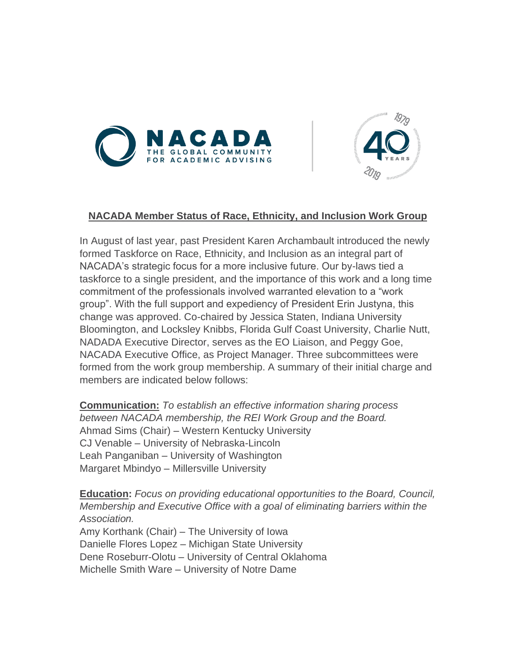



## **NACADA Member Status of Race, Ethnicity, and Inclusion Work Group**

In August of last year, past President Karen Archambault introduced the newly formed Taskforce on Race, Ethnicity, and Inclusion as an integral part of NACADA's strategic focus for a more inclusive future. Our by-laws tied a taskforce to a single president, and the importance of this work and a long time commitment of the professionals involved warranted elevation to a "work group". With the full support and expediency of President Erin Justyna, this change was approved. Co-chaired by Jessica Staten, Indiana University Bloomington, and Locksley Knibbs, Florida Gulf Coast University, Charlie Nutt, NADADA Executive Director, serves as the EO Liaison, and Peggy Goe, NACADA Executive Office, as Project Manager. Three subcommittees were formed from the work group membership. A summary of their initial charge and members are indicated below follows:

**Communication:** *To establish an effective information sharing process between NACADA membership, the REI Work Group and the Board.*  Ahmad Sims (Chair) – Western Kentucky University CJ Venable – University of Nebraska-Lincoln Leah Panganiban – University of Washington Margaret Mbindyo – Millersville University

**Education:** *Focus on providing educational opportunities to the Board, Council, Membership and Executive Office with a goal of eliminating barriers within the Association.* Amy Korthank (Chair) – The University of Iowa Danielle Flores Lopez – Michigan State University Dene Roseburr-Olotu – University of Central Oklahoma Michelle Smith Ware – University of Notre Dame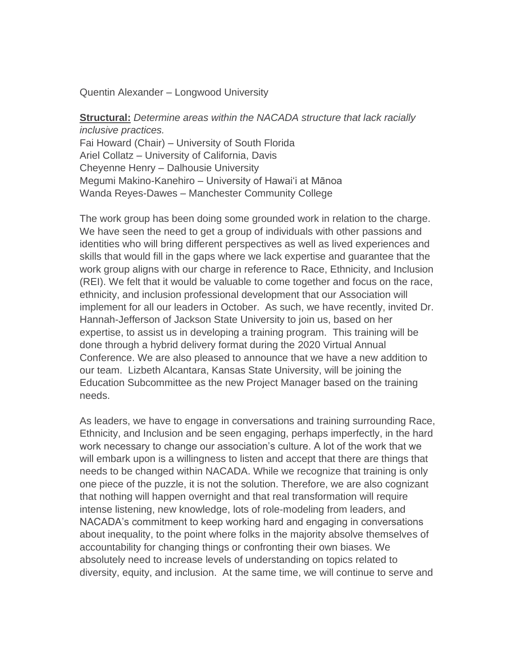Quentin Alexander – Longwood University

**Structural:** *Determine areas within the NACADA structure that lack racially inclusive practices.* Fai Howard (Chair) – University of South Florida Ariel Collatz – University of California, Davis Cheyenne Henry – Dalhousie University Megumi Makino-Kanehiro – University of Hawai'i at Mānoa Wanda Reyes-Dawes – Manchester Community College

The work group has been doing some grounded work in relation to the charge. We have seen the need to get a group of individuals with other passions and identities who will bring different perspectives as well as lived experiences and skills that would fill in the gaps where we lack expertise and guarantee that the work group aligns with our charge in reference to Race, Ethnicity, and Inclusion (REI). We felt that it would be valuable to come together and focus on the race, ethnicity, and inclusion professional development that our Association will implement for all our leaders in October. As such, we have recently, invited Dr. Hannah-Jefferson of Jackson State University to join us, based on her expertise, to assist us in developing a training program. This training will be done through a hybrid delivery format during the 2020 Virtual Annual Conference. We are also pleased to announce that we have a new addition to our team. Lizbeth Alcantara, Kansas State University, will be joining the Education Subcommittee as the new Project Manager based on the training needs.

As leaders, we have to engage in conversations and training surrounding Race, Ethnicity, and Inclusion and be seen engaging, perhaps imperfectly, in the hard work necessary to change our association's culture. A lot of the work that we will embark upon is a willingness to listen and accept that there are things that needs to be changed within NACADA. While we recognize that training is only one piece of the puzzle, it is not the solution. Therefore, we are also cognizant that nothing will happen overnight and that real transformation will require intense listening, new knowledge, lots of role-modeling from leaders, and NACADA's commitment to keep working hard and engaging in conversations about inequality, to the point where folks in the majority absolve themselves of accountability for changing things or confronting their own biases. We absolutely need to increase levels of understanding on topics related to diversity, equity, and inclusion. At the same time, we will continue to serve and